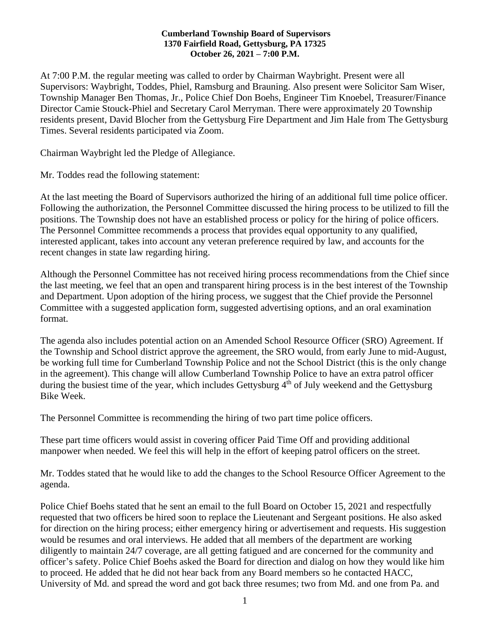#### **Cumberland Township Board of Supervisors 1370 Fairfield Road, Gettysburg, PA 17325 October 26, 2021 – 7:00 P.M.**

At 7:00 P.M. the regular meeting was called to order by Chairman Waybright. Present were all Supervisors: Waybright, Toddes, Phiel, Ramsburg and Brauning. Also present were Solicitor Sam Wiser, Township Manager Ben Thomas, Jr., Police Chief Don Boehs, Engineer Tim Knoebel, Treasurer/Finance Director Camie Stouck-Phiel and Secretary Carol Merryman. There were approximately 20 Township residents present, David Blocher from the Gettysburg Fire Department and Jim Hale from The Gettysburg Times. Several residents participated via Zoom.

Chairman Waybright led the Pledge of Allegiance.

Mr. Toddes read the following statement:

At the last meeting the Board of Supervisors authorized the hiring of an additional full time police officer. Following the authorization, the Personnel Committee discussed the hiring process to be utilized to fill the positions. The Township does not have an established process or policy for the hiring of police officers. The Personnel Committee recommends a process that provides equal opportunity to any qualified, interested applicant, takes into account any veteran preference required by law, and accounts for the recent changes in state law regarding hiring.

Although the Personnel Committee has not received hiring process recommendations from the Chief since the last meeting, we feel that an open and transparent hiring process is in the best interest of the Township and Department. Upon adoption of the hiring process, we suggest that the Chief provide the Personnel Committee with a suggested application form, suggested advertising options, and an oral examination format.

The agenda also includes potential action on an Amended School Resource Officer (SRO) Agreement. If the Township and School district approve the agreement, the SRO would, from early June to mid-August, be working full time for Cumberland Township Police and not the School District (this is the only change in the agreement). This change will allow Cumberland Township Police to have an extra patrol officer during the busiest time of the year, which includes Gettysburg  $4<sup>th</sup>$  of July weekend and the Gettysburg Bike Week.

The Personnel Committee is recommending the hiring of two part time police officers.

These part time officers would assist in covering officer Paid Time Off and providing additional manpower when needed. We feel this will help in the effort of keeping patrol officers on the street.

Mr. Toddes stated that he would like to add the changes to the School Resource Officer Agreement to the agenda.

Police Chief Boehs stated that he sent an email to the full Board on October 15, 2021 and respectfully requested that two officers be hired soon to replace the Lieutenant and Sergeant positions. He also asked for direction on the hiring process; either emergency hiring or advertisement and requests. His suggestion would be resumes and oral interviews. He added that all members of the department are working diligently to maintain 24/7 coverage, are all getting fatigued and are concerned for the community and officer's safety. Police Chief Boehs asked the Board for direction and dialog on how they would like him to proceed. He added that he did not hear back from any Board members so he contacted HACC, University of Md. and spread the word and got back three resumes; two from Md. and one from Pa. and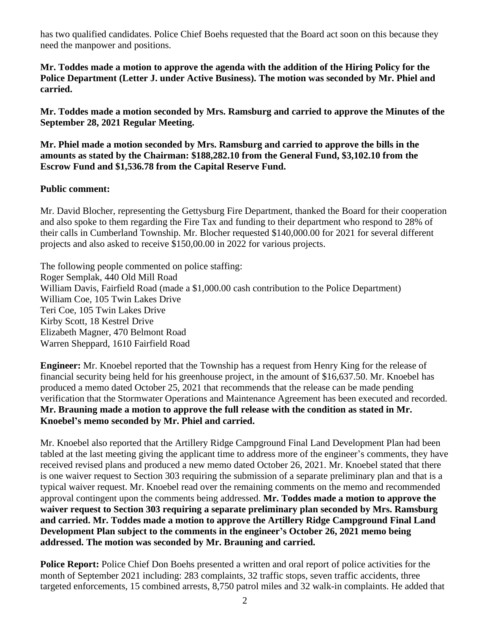has two qualified candidates. Police Chief Boehs requested that the Board act soon on this because they need the manpower and positions.

**Mr. Toddes made a motion to approve the agenda with the addition of the Hiring Policy for the Police Department (Letter J. under Active Business). The motion was seconded by Mr. Phiel and carried.**

**Mr. Toddes made a motion seconded by Mrs. Ramsburg and carried to approve the Minutes of the September 28, 2021 Regular Meeting.**

**Mr. Phiel made a motion seconded by Mrs. Ramsburg and carried to approve the bills in the amounts as stated by the Chairman: \$188,282.10 from the General Fund, \$3,102.10 from the Escrow Fund and \$1,536.78 from the Capital Reserve Fund.**

#### **Public comment:**

Mr. David Blocher, representing the Gettysburg Fire Department, thanked the Board for their cooperation and also spoke to them regarding the Fire Tax and funding to their department who respond to 28% of their calls in Cumberland Township. Mr. Blocher requested \$140,000.00 for 2021 for several different projects and also asked to receive \$150,00.00 in 2022 for various projects.

The following people commented on police staffing: Roger Semplak, 440 Old Mill Road William Davis, Fairfield Road (made a \$1,000.00 cash contribution to the Police Department) William Coe, 105 Twin Lakes Drive Teri Coe, 105 Twin Lakes Drive Kirby Scott, 18 Kestrel Drive Elizabeth Magner, 470 Belmont Road Warren Sheppard, 1610 Fairfield Road

**Engineer:** Mr. Knoebel reported that the Township has a request from Henry King for the release of financial security being held for his greenhouse project, in the amount of \$16,637.50. Mr. Knoebel has produced a memo dated October 25, 2021 that recommends that the release can be made pending verification that the Stormwater Operations and Maintenance Agreement has been executed and recorded. **Mr. Brauning made a motion to approve the full release with the condition as stated in Mr. Knoebel's memo seconded by Mr. Phiel and carried.**

Mr. Knoebel also reported that the Artillery Ridge Campground Final Land Development Plan had been tabled at the last meeting giving the applicant time to address more of the engineer's comments, they have received revised plans and produced a new memo dated October 26, 2021. Mr. Knoebel stated that there is one waiver request to Section 303 requiring the submission of a separate preliminary plan and that is a typical waiver request. Mr. Knoebel read over the remaining comments on the memo and recommended approval contingent upon the comments being addressed. **Mr. Toddes made a motion to approve the waiver request to Section 303 requiring a separate preliminary plan seconded by Mrs. Ramsburg and carried. Mr. Toddes made a motion to approve the Artillery Ridge Campground Final Land Development Plan subject to the comments in the engineer's October 26, 2021 memo being addressed. The motion was seconded by Mr. Brauning and carried.**

**Police Report:** Police Chief Don Boehs presented a written and oral report of police activities for the month of September 2021 including: 283 complaints, 32 traffic stops, seven traffic accidents, three targeted enforcements, 15 combined arrests, 8,750 patrol miles and 32 walk-in complaints. He added that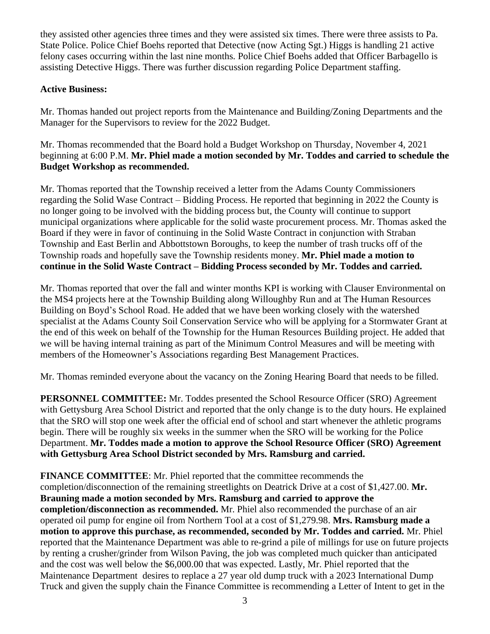they assisted other agencies three times and they were assisted six times. There were three assists to Pa. State Police. Police Chief Boehs reported that Detective (now Acting Sgt.) Higgs is handling 21 active felony cases occurring within the last nine months. Police Chief Boehs added that Officer Barbagello is assisting Detective Higgs. There was further discussion regarding Police Department staffing.

## **Active Business:**

Mr. Thomas handed out project reports from the Maintenance and Building/Zoning Departments and the Manager for the Supervisors to review for the 2022 Budget.

Mr. Thomas recommended that the Board hold a Budget Workshop on Thursday, November 4, 2021 beginning at 6:00 P.M. **Mr. Phiel made a motion seconded by Mr. Toddes and carried to schedule the Budget Workshop as recommended.** 

Mr. Thomas reported that the Township received a letter from the Adams County Commissioners regarding the Solid Wase Contract – Bidding Process. He reported that beginning in 2022 the County is no longer going to be involved with the bidding process but, the County will continue to support municipal organizations where applicable for the solid waste procurement process. Mr. Thomas asked the Board if they were in favor of continuing in the Solid Waste Contract in conjunction with Straban Township and East Berlin and Abbottstown Boroughs, to keep the number of trash trucks off of the Township roads and hopefully save the Township residents money. **Mr. Phiel made a motion to continue in the Solid Waste Contract – Bidding Process seconded by Mr. Toddes and carried.** 

Mr. Thomas reported that over the fall and winter months KPI is working with Clauser Environmental on the MS4 projects here at the Township Building along Willoughby Run and at The Human Resources Building on Boyd's School Road. He added that we have been working closely with the watershed specialist at the Adams County Soil Conservation Service who will be applying for a Stormwater Grant at the end of this week on behalf of the Township for the Human Resources Building project. He added that we will be having internal training as part of the Minimum Control Measures and will be meeting with members of the Homeowner's Associations regarding Best Management Practices.

Mr. Thomas reminded everyone about the vacancy on the Zoning Hearing Board that needs to be filled.

**PERSONNEL COMMITTEE:** Mr. Toddes presented the School Resource Officer (SRO) Agreement with Gettysburg Area School District and reported that the only change is to the duty hours. He explained that the SRO will stop one week after the official end of school and start whenever the athletic programs begin. There will be roughly six weeks in the summer when the SRO will be working for the Police Department. **Mr. Toddes made a motion to approve the School Resource Officer (SRO) Agreement with Gettysburg Area School District seconded by Mrs. Ramsburg and carried.**

**FINANCE COMMITTEE**: Mr. Phiel reported that the committee recommends the completion/disconnection of the remaining streetlights on Deatrick Drive at a cost of \$1,427.00. **Mr. Brauning made a motion seconded by Mrs. Ramsburg and carried to approve the completion/disconnection as recommended.** Mr. Phiel also recommended the purchase of an air operated oil pump for engine oil from Northern Tool at a cost of \$1,279.98. **Mrs. Ramsburg made a motion to approve this purchase, as recommended, seconded by Mr. Toddes and carried.** Mr. Phiel reported that the Maintenance Department was able to re-grind a pile of millings for use on future projects by renting a crusher/grinder from Wilson Paving, the job was completed much quicker than anticipated and the cost was well below the \$6,000.00 that was expected. Lastly, Mr. Phiel reported that the Maintenance Department desires to replace a 27 year old dump truck with a 2023 International Dump Truck and given the supply chain the Finance Committee is recommending a Letter of Intent to get in the